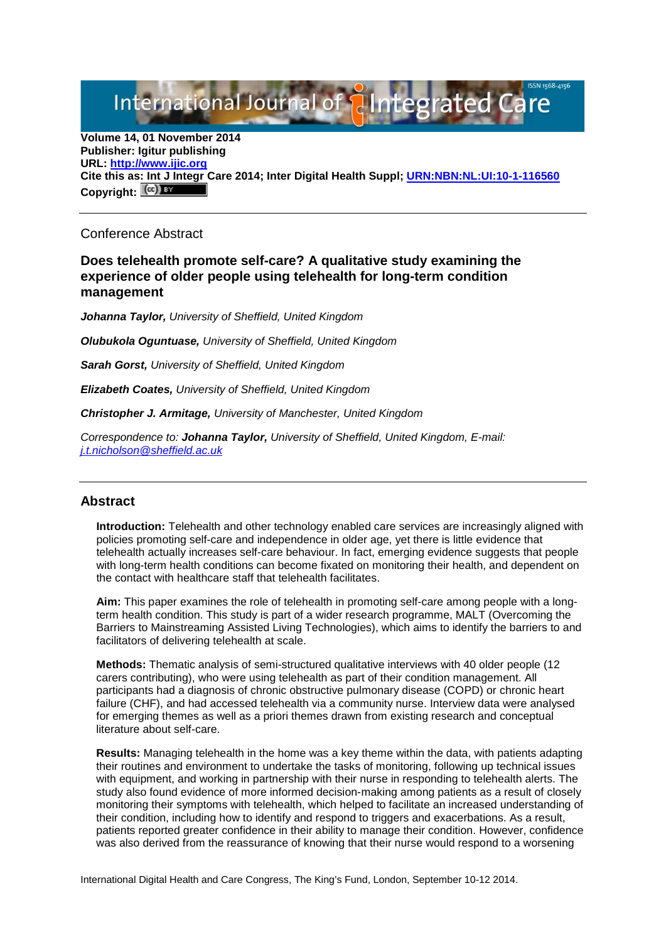# International Journal of **Plantegrated**

**Volume 14, 01 November 2014 Publisher: Igitur publishing URL: [http://www.ijic.org](http://www.ijic.org/) Cite this as: Int J Integr Care 2014; Inter Digital Health Suppl; [URN:NBN:NL:UI:10-1-116560](http://persistent-identifier.nl/?identifier=20URN:NBN:NL:UI:10-1-116560)** Copyright:  $(cc)$  BY

#### Conference Abstract

## **Does telehealth promote self-care? A qualitative study examining the experience of older people using telehealth for long-term condition management**

*Johanna Taylor, University of Sheffield, United Kingdom*

*Olubukola Oguntuase, University of Sheffield, United Kingdom*

*Sarah Gorst, University of Sheffield, United Kingdom*

*Elizabeth Coates, University of Sheffield, United Kingdom*

*Christopher J. Armitage, University of Manchester, United Kingdom* 

*Correspondence to: Johanna Taylor, University of Sheffield, United Kingdom, E-mail: [j.t.nicholson@sheffield.ac.uk](mailto:j.t.nicholson@sheffield.ac.uk)*

## **Abstract**

**Introduction:** Telehealth and other technology enabled care services are increasingly aligned with policies promoting self-care and independence in older age, yet there is little evidence that telehealth actually increases self-care behaviour. In fact, emerging evidence suggests that people with long-term health conditions can become fixated on monitoring their health, and dependent on the contact with healthcare staff that telehealth facilitates.

**Aim:** This paper examines the role of telehealth in promoting self-care among people with a longterm health condition. This study is part of a wider research programme, MALT (Overcoming the Barriers to Mainstreaming Assisted Living Technologies), which aims to identify the barriers to and facilitators of delivering telehealth at scale.

**Methods:** Thematic analysis of semi-structured qualitative interviews with 40 older people (12 carers contributing), who were using telehealth as part of their condition management. All participants had a diagnosis of chronic obstructive pulmonary disease (COPD) or chronic heart failure (CHF), and had accessed telehealth via a community nurse. Interview data were analysed for emerging themes as well as a priori themes drawn from existing research and conceptual literature about self-care.

**Results:** Managing telehealth in the home was a key theme within the data, with patients adapting their routines and environment to undertake the tasks of monitoring, following up technical issues with equipment, and working in partnership with their nurse in responding to telehealth alerts. The study also found evidence of more informed decision-making among patients as a result of closely monitoring their symptoms with telehealth, which helped to facilitate an increased understanding of their condition, including how to identify and respond to triggers and exacerbations. As a result, patients reported greater confidence in their ability to manage their condition. However, confidence was also derived from the reassurance of knowing that their nurse would respond to a worsening